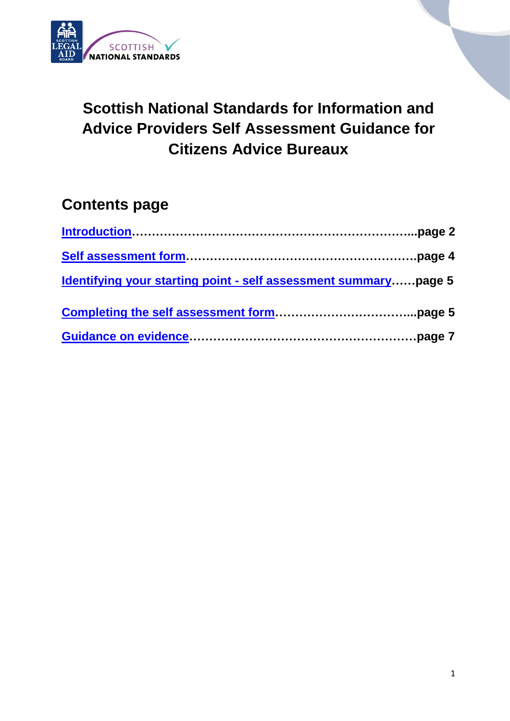

# **Scottish National Standards for Information and Advice Providers Self Assessment Guidance for Citizens Advice Bureaux**

# **Contents page**

<span id="page-0-0"></span>

| <u>Identifying your starting point - self assessment summarypage 5</u> |  |
|------------------------------------------------------------------------|--|
|                                                                        |  |
|                                                                        |  |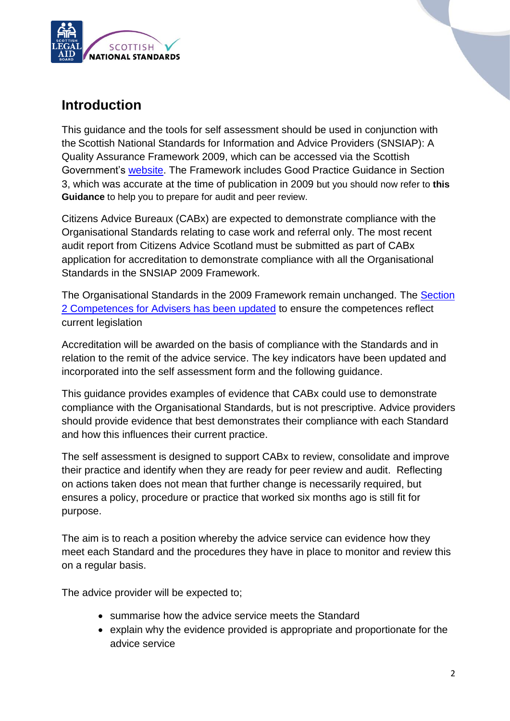

## **Introduction**

This guidance and the tools for self assessment should be used in conjunction with the Scottish National Standards for Information and Advice Providers (SNSIAP): A Quality Assurance Framework 2009, which can be accessed via the Scottish Government's [website.](http://www.gov.scot/Publications/2010/10/08154126/0) The Framework includes Good Practice Guidance in Section 3, which was accurate at the time of publication in 2009 but you should now refer to **this Guidance** to help you to prepare for audit and peer review.

Citizens Advice Bureaux (CABx) are expected to demonstrate compliance with the Organisational Standards relating to case work and referral only. The most recent audit report from Citizens Advice Scotland must be submitted as part of CABx application for accreditation to demonstrate compliance with all the Organisational Standards in the SNSIAP 2009 Framework.

The Organisational Standards in the 2009 Framework remain unchanged. The [Section](http://www.gov.scot/Topics/Justice/policies/widening-access/standardsforadvisers/SNSIAPupdatedcompetences)  [2 Competences for Advisers has been updated](http://www.gov.scot/Topics/Justice/policies/widening-access/standardsforadvisers/SNSIAPupdatedcompetences) to ensure the competences reflect current legislation

Accreditation will be awarded on the basis of compliance with the Standards and in relation to the remit of the advice service. The key indicators have been updated and incorporated into the self assessment form and the following guidance.

This guidance provides examples of evidence that CABx could use to demonstrate compliance with the Organisational Standards, but is not prescriptive. Advice providers should provide evidence that best demonstrates their compliance with each Standard and how this influences their current practice.

The self assessment is designed to support CABx to review, consolidate and improve their practice and identify when they are ready for peer review and audit. Reflecting on actions taken does not mean that further change is necessarily required, but ensures a policy, procedure or practice that worked six months ago is still fit for purpose.

The aim is to reach a position whereby the advice service can evidence how they meet each Standard and the procedures they have in place to monitor and review this on a regular basis.

The advice provider will be expected to;

- summarise how the advice service meets the Standard
- explain why the evidence provided is appropriate and proportionate for the advice service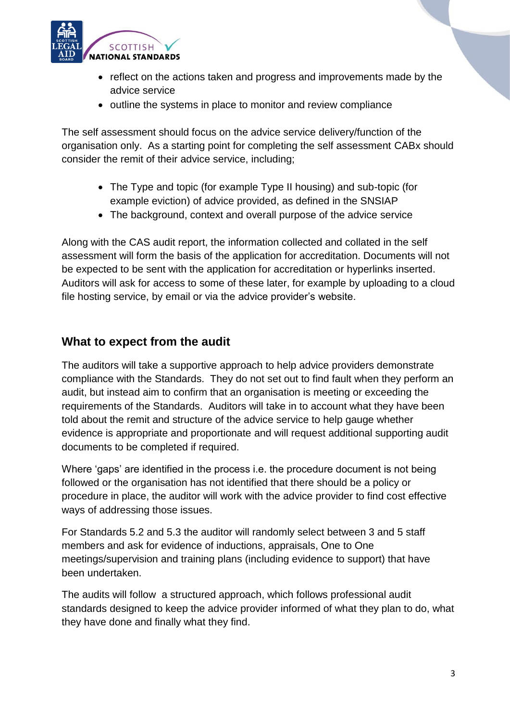

- reflect on the actions taken and progress and improvements made by the advice service
- outline the systems in place to monitor and review compliance

The self assessment should focus on the advice service delivery/function of the organisation only. As a starting point for completing the self assessment CABx should consider the remit of their advice service, including;

- The Type and topic (for example Type II housing) and sub-topic (for example eviction) of advice provided, as defined in the SNSIAP
- The background, context and overall purpose of the advice service

Along with the CAS audit report, the information collected and collated in the self assessment will form the basis of the application for accreditation. Documents will not be expected to be sent with the application for accreditation or hyperlinks inserted. Auditors will ask for access to some of these later, for example by uploading to a cloud file hosting service, by email or via the advice provider's website.

### **What to expect from the audit**

The auditors will take a supportive approach to help advice providers demonstrate compliance with the Standards. They do not set out to find fault when they perform an audit, but instead aim to confirm that an organisation is meeting or exceeding the requirements of the Standards. Auditors will take in to account what they have been told about the remit and structure of the advice service to help gauge whether evidence is appropriate and proportionate and will request additional supporting audit documents to be completed if required.

Where 'gaps' are identified in the process i.e. the procedure document is not being followed or the organisation has not identified that there should be a policy or procedure in place, the auditor will work with the advice provider to find cost effective ways of addressing those issues.

For Standards 5.2 and 5.3 the auditor will randomly select between 3 and 5 staff members and ask for evidence of inductions, appraisals, One to One meetings/supervision and training plans (including evidence to support) that have been undertaken.

The audits will follow a structured approach, which follows professional audit standards designed to keep the advice provider informed of what they plan to do, what they have done and finally what they find.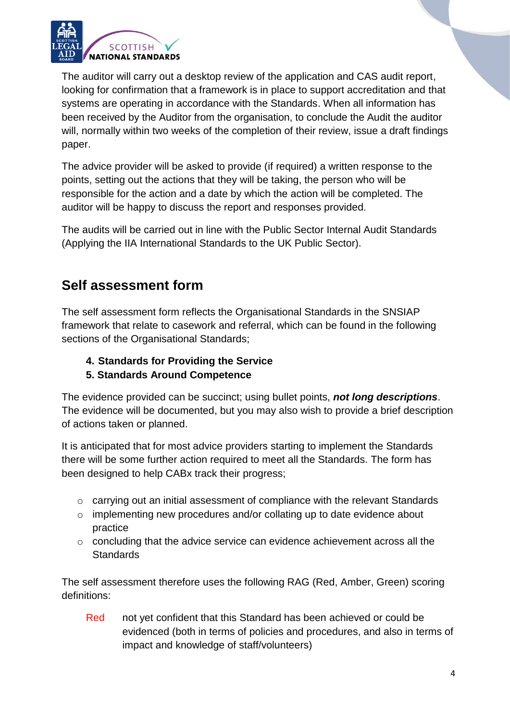

 The auditor will carry out a desktop review of the application and CAS audit report, looking for confirmation that a framework is in place to support accreditation and that systems are operating in accordance with the Standards. When all information has been received by the Auditor from the organisation, to conclude the Audit the auditor will, normally within two weeks of the completion of their review, issue a draft findings paper.

The advice provider will be asked to provide (if required) a written response to the points, setting out the actions that they will be taking, the person who will be responsible for the action and a date by which the action will be completed. The auditor will be happy to discuss the report and responses provided.

The audits will be carried out in line with the Public Sector Internal Audit Standards (Applying the IIA International Standards to the UK Public Sector).

# <span id="page-3-0"></span>**Self assessment form**

The self assessment form reflects the Organisational Standards in the SNSIAP framework that relate to casework and referral, which can be found in the following sections of the Organisational Standards;

### **4. Standards for Providing the Service 5. Standards Around Competence**

The evidence provided can be succinct; using bullet points, *not long descriptions*. The evidence will be documented, but you may also wish to provide a brief description of actions taken or planned.

It is anticipated that for most advice providers starting to implement the Standards there will be some further action required to meet all the Standards. The form has been designed to help CABx track their progress;

- o carrying out an initial assessment of compliance with the relevant Standards
- $\circ$  implementing new procedures and/or collating up to date evidence about practice
- o concluding that the advice service can evidence achievement across all the **Standards**

The self assessment therefore uses the following RAG (Red, Amber, Green) scoring definitions:

Red not yet confident that this Standard has been achieved or could be evidenced (both in terms of policies and procedures, and also in terms of impact and knowledge of staff/volunteers)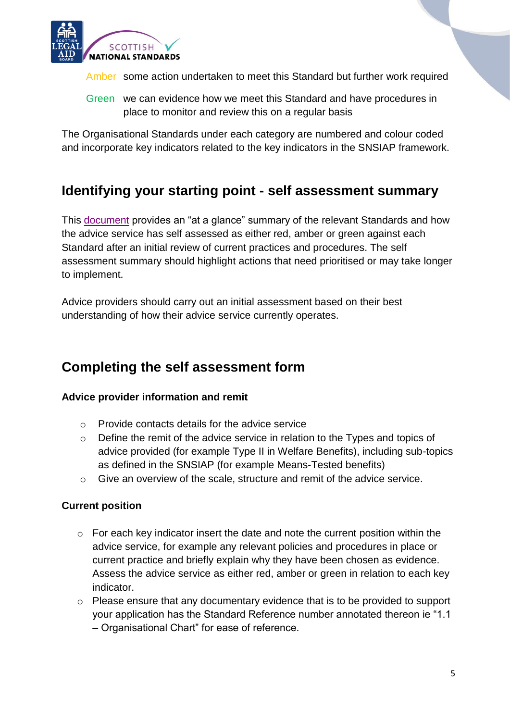

Amber some action undertaken to meet this Standard but further work required

Green we can evidence how we meet this Standard and have procedures in place to monitor and review this on a regular basis

The Organisational Standards under each category are numbered and colour coded and incorporate key indicators related to the key indicators in the SNSIAP framework.

### <span id="page-4-0"></span>**Identifying your starting point - self assessment summary**

This [document](http://www.slab.org.uk/common/documents/advice_sector/documents/SNSIAPselfassessmentsummaryCABx_-_Fillable_Fields.pdf) provides an "at a glance" summary of the relevant Standards and how the advice service has self assessed as either red, amber or green against each Standard after an initial review of current practices and procedures. The self assessment summary should highlight actions that need prioritised or may take longer to implement.

<span id="page-4-1"></span>Advice providers should carry out an initial assessment based on their best understanding of how their advice service currently operates.

### **Completing the self assessment form**

### **Advice provider information and remit**

- o Provide contacts details for the advice service
- o Define the remit of the advice service in relation to the Types and topics of advice provided (for example Type II in Welfare Benefits), including sub-topics as defined in the SNSIAP (for example Means-Tested benefits)
- $\circ$  Give an overview of the scale, structure and remit of the advice service.

### **Current position**

- $\circ$  For each key indicator insert the date and note the current position within the advice service, for example any relevant policies and procedures in place or current practice and briefly explain why they have been chosen as evidence. Assess the advice service as either red, amber or green in relation to each key indicator.
- o Please ensure that any documentary evidence that is to be provided to support your application has the Standard Reference number annotated thereon ie "1.1 – Organisational Chart" for ease of reference.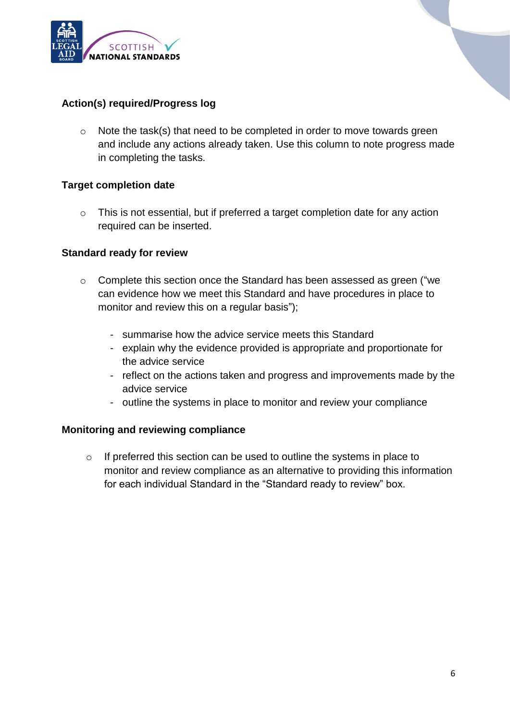

### **Action(s) required/Progress log**

o Note the task(s) that need to be completed in order to move towards green and include any actions already taken. Use this column to note progress made in completing the tasks.

#### **Target completion date**

o This is not essential, but if preferred a target completion date for any action required can be inserted.

#### **Standard ready for review**

- o Complete this section once the Standard has been assessed as green ("we can evidence how we meet this Standard and have procedures in place to monitor and review this on a regular basis");
	- summarise how the advice service meets this Standard
	- explain why the evidence provided is appropriate and proportionate for the advice service
	- reflect on the actions taken and progress and improvements made by the advice service
	- outline the systems in place to monitor and review your compliance

#### **Monitoring and reviewing compliance**

<span id="page-5-0"></span>o If preferred this section can be used to outline the systems in place to monitor and review compliance as an alternative to providing this information for each individual Standard in the "Standard ready to review" box.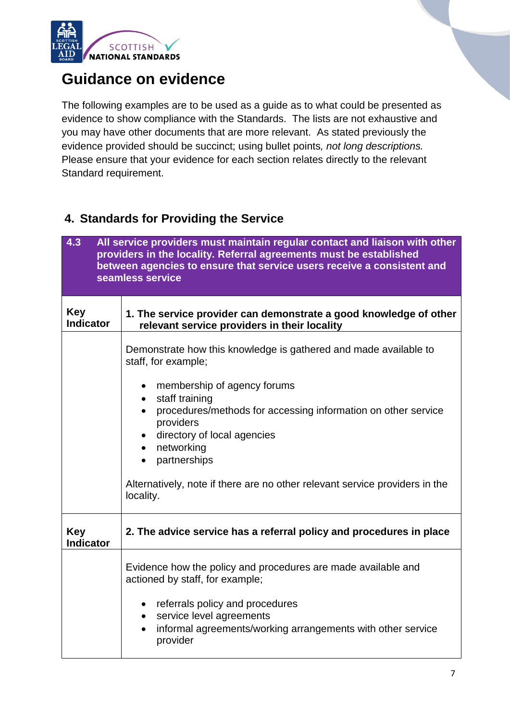

# **Guidance on evidence**

The following examples are to be used as a guide as to what could be presented as evidence to show compliance with the Standards. The lists are not exhaustive and you may have other documents that are more relevant. As stated previously the evidence provided should be succinct; using bullet points*, not long descriptions.*  Please ensure that your evidence for each section relates directly to the relevant Standard requirement.

### **4. Standards for Providing the Service**

| 4.3<br>All service providers must maintain regular contact and liaison with other<br>providers in the locality. Referral agreements must be established<br>between agencies to ensure that service users receive a consistent and<br>seamless service |                                                                                                                                                                                                                                                                                                                                                                                                                                     |
|-------------------------------------------------------------------------------------------------------------------------------------------------------------------------------------------------------------------------------------------------------|-------------------------------------------------------------------------------------------------------------------------------------------------------------------------------------------------------------------------------------------------------------------------------------------------------------------------------------------------------------------------------------------------------------------------------------|
| <b>Key</b><br><b>Indicator</b>                                                                                                                                                                                                                        | 1. The service provider can demonstrate a good knowledge of other<br>relevant service providers in their locality                                                                                                                                                                                                                                                                                                                   |
|                                                                                                                                                                                                                                                       | Demonstrate how this knowledge is gathered and made available to<br>staff, for example;<br>membership of agency forums<br>$\bullet$<br>staff training<br>$\bullet$<br>procedures/methods for accessing information on other service<br>$\bullet$<br>providers<br>directory of local agencies<br>networking<br>$\bullet$<br>partnerships<br>Alternatively, note if there are no other relevant service providers in the<br>locality. |
| <b>Key</b><br><b>Indicator</b>                                                                                                                                                                                                                        | 2. The advice service has a referral policy and procedures in place                                                                                                                                                                                                                                                                                                                                                                 |
|                                                                                                                                                                                                                                                       | Evidence how the policy and procedures are made available and<br>actioned by staff, for example;<br>referrals policy and procedures<br>$\bullet$<br>service level agreements<br>$\bullet$<br>informal agreements/working arrangements with other service<br>provider                                                                                                                                                                |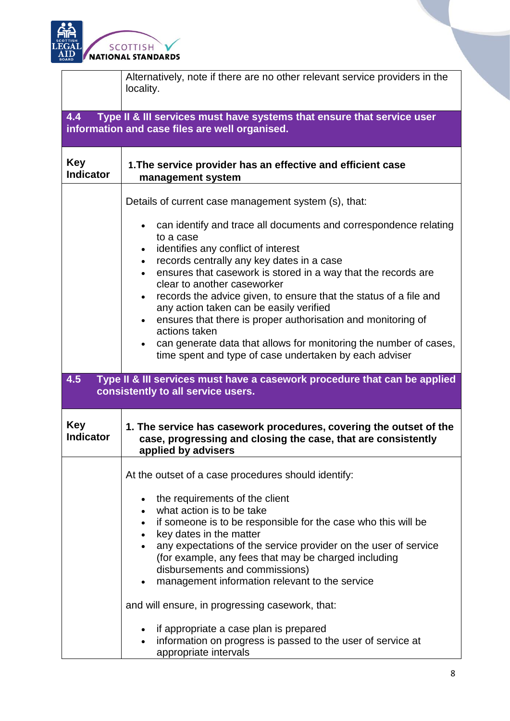

|                                | Alternatively, note if there are no other relevant service providers in the<br>locality.                                                                   |
|--------------------------------|------------------------------------------------------------------------------------------------------------------------------------------------------------|
| 4.4                            | Type II & III services must have systems that ensure that service user<br>information and case files are well organised.                                   |
| <b>Key</b><br><b>Indicator</b> | 1. The service provider has an effective and efficient case<br>management system                                                                           |
|                                | Details of current case management system (s), that:                                                                                                       |
|                                | can identify and trace all documents and correspondence relating<br>$\bullet$<br>to a case<br>identifies any conflict of interest<br>$\bullet$             |
|                                | records centrally any key dates in a case<br>$\bullet$                                                                                                     |
|                                | ensures that casework is stored in a way that the records are<br>clear to another caseworker                                                               |
|                                | records the advice given, to ensure that the status of a file and<br>$\bullet$<br>any action taken can be easily verified                                  |
|                                | ensures that there is proper authorisation and monitoring of<br>actions taken                                                                              |
|                                | can generate data that allows for monitoring the number of cases,<br>$\bullet$<br>time spent and type of case undertaken by each adviser                   |
| 4.5                            | Type II & III services must have a casework procedure that can be applied<br>consistently to all service users.                                            |
| <b>Key</b><br><b>Indicator</b> | 1. The service has casework procedures, covering the outset of the<br>case, progressing and closing the case, that are consistently<br>applied by advisers |
|                                | At the outset of a case procedures should identify:                                                                                                        |
|                                | the requirements of the client                                                                                                                             |
|                                | what action is to be take                                                                                                                                  |
|                                | if someone is to be responsible for the case who this will be<br>$\bullet$<br>key dates in the matter<br>$\bullet$                                         |
|                                | any expectations of the service provider on the user of service                                                                                            |
|                                | (for example, any fees that may be charged including                                                                                                       |
|                                | disbursements and commissions)<br>management information relevant to the service                                                                           |
|                                | and will ensure, in progressing casework, that:                                                                                                            |
|                                | if appropriate a case plan is prepared<br>٠<br>information on progress is passed to the user of service at<br>appropriate intervals                        |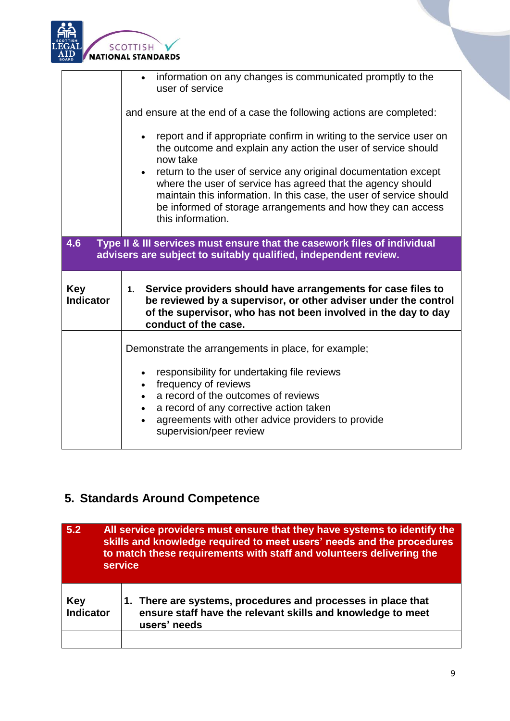

|                                | • information on any changes is communicated promptly to the<br>user of service                                                                                                                                                                                                                                                                                                                                                                            |
|--------------------------------|------------------------------------------------------------------------------------------------------------------------------------------------------------------------------------------------------------------------------------------------------------------------------------------------------------------------------------------------------------------------------------------------------------------------------------------------------------|
|                                | and ensure at the end of a case the following actions are completed:                                                                                                                                                                                                                                                                                                                                                                                       |
|                                | report and if appropriate confirm in writing to the service user on<br>$\bullet$<br>the outcome and explain any action the user of service should<br>now take<br>return to the user of service any original documentation except<br>where the user of service has agreed that the agency should<br>maintain this information. In this case, the user of service should<br>be informed of storage arrangements and how they can access<br>this information. |
|                                |                                                                                                                                                                                                                                                                                                                                                                                                                                                            |
| 4.6                            | Type II & III services must ensure that the casework files of individual<br>advisers are subject to suitably qualified, independent review.                                                                                                                                                                                                                                                                                                                |
| <b>Key</b><br><b>Indicator</b> | 1. Service providers should have arrangements for case files to<br>be reviewed by a supervisor, or other adviser under the control<br>of the supervisor, who has not been involved in the day to day<br>conduct of the case.                                                                                                                                                                                                                               |
|                                | Demonstrate the arrangements in place, for example;                                                                                                                                                                                                                                                                                                                                                                                                        |

# **5. Standards Around Competence**

| 5.2                     | All service providers must ensure that they have systems to identify the<br>skills and knowledge required to meet users' needs and the procedures<br>to match these requirements with staff and volunteers delivering the<br>service |  |
|-------------------------|--------------------------------------------------------------------------------------------------------------------------------------------------------------------------------------------------------------------------------------|--|
| Key<br><b>Indicator</b> | 1. There are systems, procedures and processes in place that<br>ensure staff have the relevant skills and knowledge to meet<br>users' needs                                                                                          |  |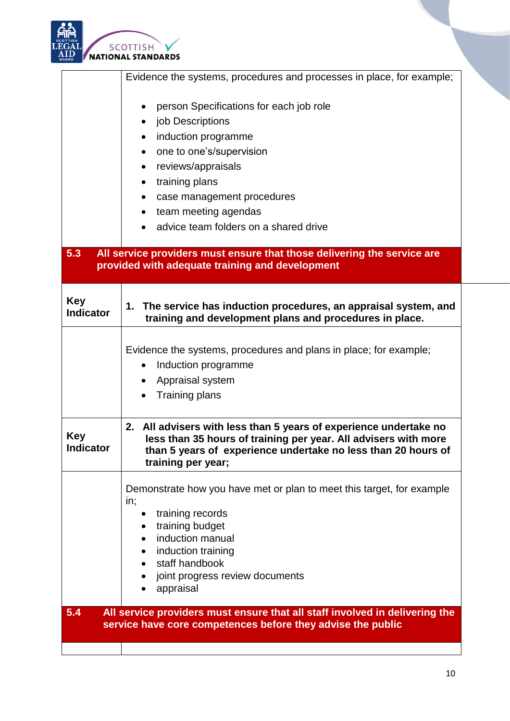

|                         | Evidence the systems, procedures and processes in place, for example;                                                                                                                                                                                                                                                            |
|-------------------------|----------------------------------------------------------------------------------------------------------------------------------------------------------------------------------------------------------------------------------------------------------------------------------------------------------------------------------|
| 5.3                     | person Specifications for each job role<br>job Descriptions<br>induction programme<br>one to one's/supervision<br>reviews/appraisals<br>training plans<br>case management procedures<br>team meeting agendas<br>advice team folders on a shared drive<br>All service providers must ensure that those delivering the service are |
|                         | provided with adequate training and development                                                                                                                                                                                                                                                                                  |
| Key<br><b>Indicator</b> | 1. The service has induction procedures, an appraisal system, and<br>training and development plans and procedures in place.                                                                                                                                                                                                     |
|                         | Evidence the systems, procedures and plans in place; for example;<br>Induction programme<br>٠<br>Appraisal system<br><b>Training plans</b>                                                                                                                                                                                       |
| Key<br>Indicator        | 2. All advisers with less than 5 years of experience undertake no<br>less than 35 hours of training per year. All advisers with more<br>than 5 years of experience undertake no less than 20 hours of<br>training per year;                                                                                                      |
|                         | Demonstrate how you have met or plan to meet this target, for example<br>in;<br>training records<br>training budget<br>induction manual<br>$\bullet$<br>induction training<br>staff handbook<br>joint progress review documents<br>appraisal                                                                                     |
| 5.4                     | All service providers must ensure that all staff involved in delivering the<br>service have core competences before they advise the public                                                                                                                                                                                       |
|                         |                                                                                                                                                                                                                                                                                                                                  |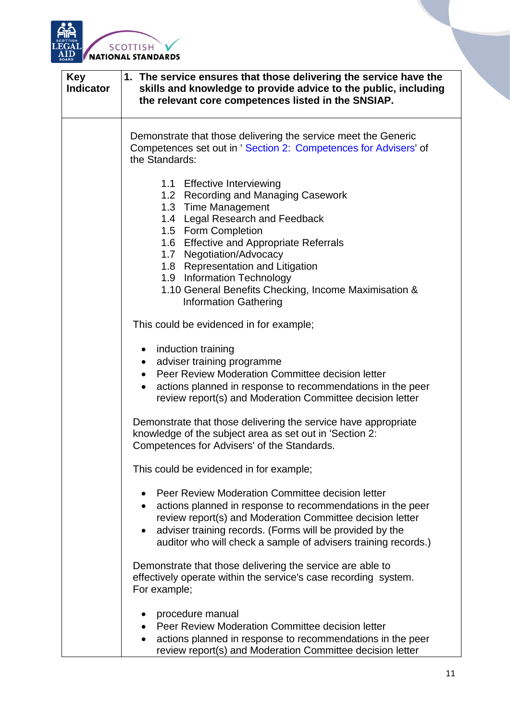

| <b>Key</b><br><b>Indicator</b> | 1. The service ensures that those delivering the service have the<br>skills and knowledge to provide advice to the public, including<br>the relevant core competences listed in the SNSIAP.                                                                                                                                                                                           |
|--------------------------------|---------------------------------------------------------------------------------------------------------------------------------------------------------------------------------------------------------------------------------------------------------------------------------------------------------------------------------------------------------------------------------------|
|                                | Demonstrate that those delivering the service meet the Generic<br>Competences set out in ' Section 2: Competences for Advisers' of<br>the Standards:                                                                                                                                                                                                                                  |
|                                | 1.1 Effective Interviewing<br>1.2 Recording and Managing Casework<br>1.3 Time Management<br>1.4 Legal Research and Feedback<br>1.5 Form Completion<br>1.6 Effective and Appropriate Referrals<br>1.7 Negotiation/Advocacy<br>1.8 Representation and Litigation<br>1.9 Information Technology<br>1.10 General Benefits Checking, Income Maximisation &<br><b>Information Gathering</b> |
|                                | This could be evidenced in for example;<br>induction training<br>$\bullet$<br>adviser training programme<br>$\bullet$<br>Peer Review Moderation Committee decision letter<br>$\bullet$<br>actions planned in response to recommendations in the peer<br>review report(s) and Moderation Committee decision letter                                                                     |
|                                | Demonstrate that those delivering the service have appropriate<br>knowledge of the subject area as set out in 'Section 2:<br>Competences for Advisers' of the Standards.                                                                                                                                                                                                              |
|                                | This could be evidenced in for example;                                                                                                                                                                                                                                                                                                                                               |
|                                | Peer Review Moderation Committee decision letter<br>$\bullet$<br>actions planned in response to recommendations in the peer<br>$\bullet$<br>review report(s) and Moderation Committee decision letter<br>adviser training records. (Forms will be provided by the<br>auditor who will check a sample of advisers training records.)                                                   |
|                                | Demonstrate that those delivering the service are able to<br>effectively operate within the service's case recording system.<br>For example;                                                                                                                                                                                                                                          |
|                                | procedure manual<br>Peer Review Moderation Committee decision letter<br>actions planned in response to recommendations in the peer<br>review report(s) and Moderation Committee decision letter                                                                                                                                                                                       |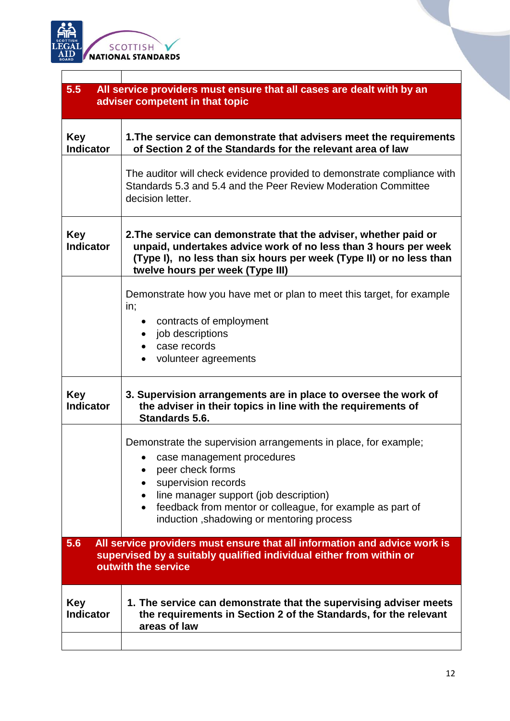

 $\overline{\Gamma}$ 

| 5.5<br>All service providers must ensure that all cases are dealt with by an<br>adviser competent in that topic                                                                |                                                                                                                                                                                                                                                                                                           |
|--------------------------------------------------------------------------------------------------------------------------------------------------------------------------------|-----------------------------------------------------------------------------------------------------------------------------------------------------------------------------------------------------------------------------------------------------------------------------------------------------------|
| <b>Key</b><br><b>Indicator</b>                                                                                                                                                 | 1. The service can demonstrate that advisers meet the requirements<br>of Section 2 of the Standards for the relevant area of law                                                                                                                                                                          |
|                                                                                                                                                                                | The auditor will check evidence provided to demonstrate compliance with<br>Standards 5.3 and 5.4 and the Peer Review Moderation Committee<br>decision letter.                                                                                                                                             |
| <b>Key</b><br><b>Indicator</b>                                                                                                                                                 | 2. The service can demonstrate that the adviser, whether paid or<br>unpaid, undertakes advice work of no less than 3 hours per week<br>(Type I), no less than six hours per week (Type II) or no less than<br>twelve hours per week (Type III)                                                            |
|                                                                                                                                                                                | Demonstrate how you have met or plan to meet this target, for example<br>in;<br>• contracts of employment<br>job descriptions<br>case records<br>volunteer agreements                                                                                                                                     |
| <b>Key</b><br><b>Indicator</b>                                                                                                                                                 | 3. Supervision arrangements are in place to oversee the work of<br>the adviser in their topics in line with the requirements of<br>Standards 5.6.                                                                                                                                                         |
|                                                                                                                                                                                | Demonstrate the supervision arrangements in place, for example;<br>case management procedures<br>peer check forms<br>supervision records<br>line manager support (job description)<br>$\bullet$<br>feedback from mentor or colleague, for example as part of<br>induction, shadowing or mentoring process |
| 5.6<br>All service providers must ensure that all information and advice work is<br>supervised by a suitably qualified individual either from within or<br>outwith the service |                                                                                                                                                                                                                                                                                                           |
| <b>Key</b><br><b>Indicator</b>                                                                                                                                                 | 1. The service can demonstrate that the supervising adviser meets<br>the requirements in Section 2 of the Standards, for the relevant<br>areas of law                                                                                                                                                     |